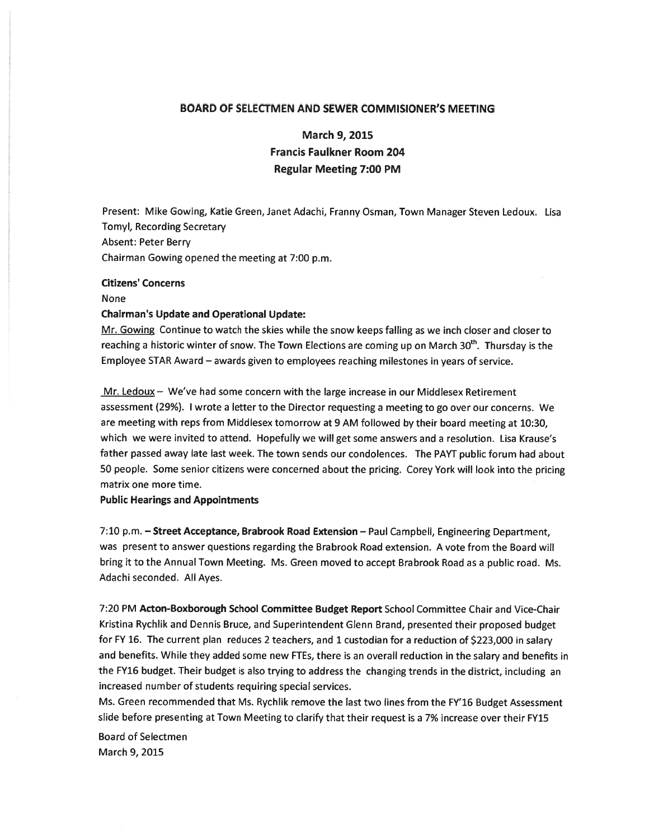## BOARD OF SELECTMEN AND SEWER COMMISIONER'S MEETING

# March 9, 2015 Francis Faulkner Room 204 Regular Meeting 7:00 PM

Present: Mike Gowing, Katie Green, Janet Adachi, Franny Osman, Town Manager Steven Ledoux. Lisa Tomyl, Recording Secretary Absent: Peter Berry Chairman Gowing opened the meeting at 7:00 p.m.

## Citizens' Concerns

#### None

## Chairman's Update and Operational Update:

Mr. Gowing Continue to watch the skies while the snow keeps falling as we inch closer and closer to reaching a historic winter of snow. The Town Elections are coming up on March 30<sup>th</sup>. Thursday is the Employee STAR Award — awards <sup>g</sup>iven to employees reaching milestones in years of service.

 $Mr.$  Ledoux  $-$  We've had some concern with the large increase in our Middlesex Retirement assessment (29%). <sup>I</sup> wrote <sup>a</sup> letter to the Director requesting <sup>a</sup> meeting to go over our concerns. We are meeting with reps from Middlesex tomorrow at <sup>9</sup> AM followed by their board meeting at 10:30, which we were invited to attend. Hopefully we will ge<sup>t</sup> some answers and <sup>a</sup> resolution. Lisa Krause's father passed away late last week. The town sends our condolences. The PAYT public forum had about <sup>50</sup> people. Some senior citizens were concerned about the pricing. Corey York will look into the pricing matrix one more time.

#### Public Hearings and Appointments

7:10 p.m. — Street Acceptance, Brabrook Road Extension — Paul Campbell, Engineering Department, was presen<sup>t</sup> to answer questions regarding the Brabrook Road extension. A vote from the Board will bring it to the Annual Town Meeting. Ms. Green moved to accep<sup>t</sup> Brabrook Road as <sup>a</sup> public road. Ms. Adachi seconded. All Ayes.

7:20 PM Acton-Boxborough School Committee Budget Report School Committee Chair and Vice-Chair Kristina Rychlik and Dennis Bruce, and Superintendent Glenn Brand, presented their propose<sup>d</sup> budget for FY 16. The current <sup>p</sup>lan reduces <sup>2</sup> teachers, and <sup>I</sup> custodian for <sup>a</sup> reduction of \$223,000 in salary and benefits. While they added some new FTEs, there is an overall reduction in the salary and benefits in the FY16 budget. Their budget is also trying to address the changing trends in the district, including an increased number of students requiring special services.

Ms. Green recommended that Ms. Rychlik remove the last two lines from the FY'16 Budget Assessment slide before presenting at Town Meeting to clarify that their reques<sup>t</sup> is <sup>a</sup> 7% increase over their FY15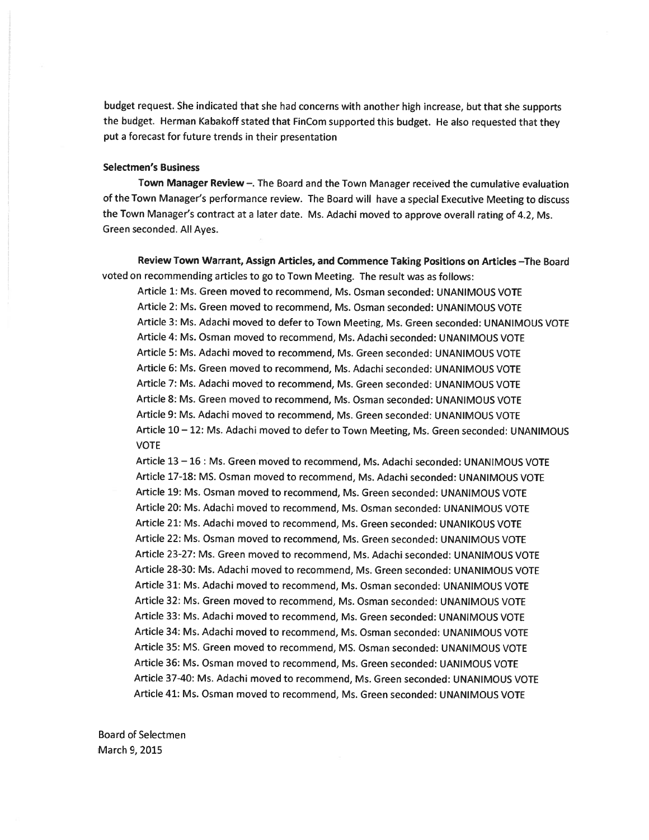budget request. She indicated that she had concerns with another high increase, but that she supports the budget. Herman Kabakoff stated that FinCom supported this budget. He also requested that they pu<sup>t</sup> <sup>a</sup> forecast for future trends in their presentation

#### Selectmen's Business

Town Manager Review—. The Board and the Town Manager received the cumulative evaluation of the Town Manager's performance review. The Board will have <sup>a</sup> special Executive Meeting to discuss the Town Manager's contract at <sup>a</sup> later date. Ms. Adachi moved to approve overall rating of 4.2, Ms. Green seconded. All Ayes.

Review Town Warrant, Assign Articles, and Commence Taking Positions on Articles —The Board voted on recommending articles to go to Town Meeting. The result was as follows:

Article 1: Ms. Green moved to recommend, Ms. Osman seconded: UNANIMOUS VOTE Article 2: Ms. Green moved to recommend, Ms. Osman seconded: UNANIMOUS VOTE Article 3: Ms. Adachi moved to defer to Town Meeting, Ms. Green seconded: UNANIMOUS VOTE Article 4: Ms. Osman moved to recommend, Ms. Adachi seconded: UNANIMOUS VOTE Article 5: Ms. Adachi moved to recommend, Ms. Green seconded: UNANIMOUS VOTE Article 6: Ms. Green moved to recommend, Ms. Adachi seconded: UNANIMOUS VOTE Article 7: Ms. Adachi moved to recommend, Ms. Green seconded: UNANIMOUS VOTE Article 8: Ms. Green moved to recommend, Ms. Osman seconded: UNANIMOUS VOTE Article 9: Ms. Adachi moved to recommend, Ms. Green seconded: UNANIMOUS VOTE Article 10— 12: Ms. Adachi moved to defer to Town Meeting, Ms. Green seconded: UNANIMOUS VOTE

Article 13 — 16: Ms. Green moved to recommend, Ms. Adachi seconded: UNANIMOUS VOTE Article 17-18: MS. Osman moved to recommend, Ms. Adachi seconded: UNANIMOUS VOTE Article 19: Ms. Osman moved to recommend, Ms. Green seconded: UNANIMOUS VOTE Article 20: Ms. Adachi moved to recommend, Ms. Osman seconded: UNANIMOUS VOTE Article 21: Ms. Adachi moved to recommend, Ms. Green seconded: UNANIKOUS VOTE Article 22: Ms. Osman moved to recommend, Ms. Green seconded: UNANIMOUS VOTE Article 23-27: Ms. Green moved to recommend, Ms. Adachi seconded: UNANIMOUS VOTE Article 28-30: Ms. Adachi moved to recommend, Ms. Green seconded: UNANIMOUS VOTE Article 31: Ms. Adachi moved to recommend, Ms. Osman seconded: UNANIMOUS VOTE Article 32: Ms. Green moved to recommend, Ms. Osman seconded: UNANIMOUS VOTE Article 33: Ms. Adachi moved to recommend, Ms. Green seconded: UNANIMOUS VOTE Article 34: Ms. Adachi moved to recommend, Ms. Osman seconded: UNANIMOUS VOTE Article 35: MS. Green moved to recommend, MS. Osman seconded: UNANIMOUS VOTE Article 36: Ms. Osman moved to recommend, Ms. Green seconded: UANIMOUS VOTE Article 37-40: Ms. Adachi moved to recommend, Ms. Green seconded: UNANIMOUS VOTE Article 41: Ms. Osman moved to recommend, Ms. Green seconded: UNANIMOUS VOTE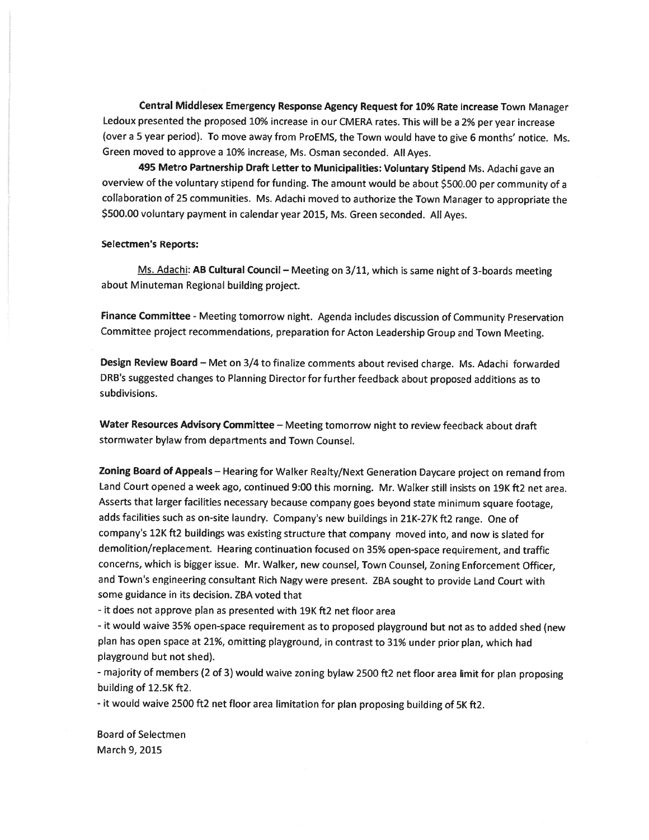Central Middlesex Emergency Response Agency Request for 10% Rate Increase Town Manager Ledoux presented the propose<sup>d</sup> 10% increase in our CMERA rates. This will be <sup>a</sup> 2% per year increase (over <sup>a</sup> <sup>5</sup> year period). To move away from ProEMS, the Town would have to <sup>g</sup>ive <sup>6</sup> months' notice. Ms. Green moved to approve <sup>a</sup> 10% increase, Ms. Osman seconded. All Ayes.

<sup>495</sup> Metro Partnership Draft Letter to Municipalities: Voluntary Stipend Ms. Adachi gave an overview of the voluntary stipend for funding. The amount would be about \$500.00 per community of <sup>a</sup> collaboration of <sup>25</sup> communities. Ms. Adachi moved to authorize the Town Manager to appropriate the \$500.00 voluntary paymen<sup>t</sup> in calendar year 2015, Ms. Green seconded. All Ayes.

#### Selectmen's Reports:

Ms. Adachi: AB Cultural Council - Meeting on 3/11, which is same night of 3-boards meeting about Minuteman Regional building project.

Finance Committee - Meeting tomorrow night. Agenda includes discussion of Community Preservation Committee project recommendations, preparation for Acton Leadership Group and Town Meeting.

Design Review Board — Met on 3/4 to finalize comments about revised charge. Ms. Adachi forwarded DRB's suggested changes to Planning Director for further feedback about propose<sup>d</sup> additions as to subdivisions.

Water Resources Advisory Committee - Meeting tomorrow night to review feedback about draft stormwater bylaw from departments and Town Counsel.

Zoning Board of Appeals — Hearing for Walker Realty/Next Generation Daycare project on remand from Land Court opene<sup>d</sup> <sup>a</sup> week ago, continued 9:00 this morning. Mr. Walker still insists on 19K ft2 net area. Asserts that larger facilities necessary because company goes beyond state minimum square footage, adds facilities such as on-site laundry. Company's new buildings in 21K-27K ft2 range. One of company's 12K ft2 buildings was existing structure that company moved into, and now is slated for demolition/replacement. Hearing continuation focused on 35% open-space requirement, and traffic concerns, which is bigger issue. Mr. Walker, new counsel, Town Counsel, Zoning Enforcement Officer, and Town's engineering consultant Rich Nagy were present. ZBA sought to provide Land Court with some guidance in its decision. ZBA voted that

- it does not approve plan as presented with 19K ft2 net floor area

- it would waive 35% open-space requirement as to propose<sup>d</sup> <sup>p</sup>layground but not as to added shed (new <sup>p</sup>lan has open space at 21%, omitting <sup>p</sup>layground, in contrast to 31% under prior <sup>p</sup>lan, which had playground but not shed).

- majority of members (2 of 3) would waive zoning bylaw <sup>2500</sup> ft2 net floor area limit for <sup>p</sup>lan proposing building of 12.5K ft2.

- it would waive <sup>2500</sup> ft2 net floor area limitation for <sup>p</sup>lan proposing building of 5K ft2.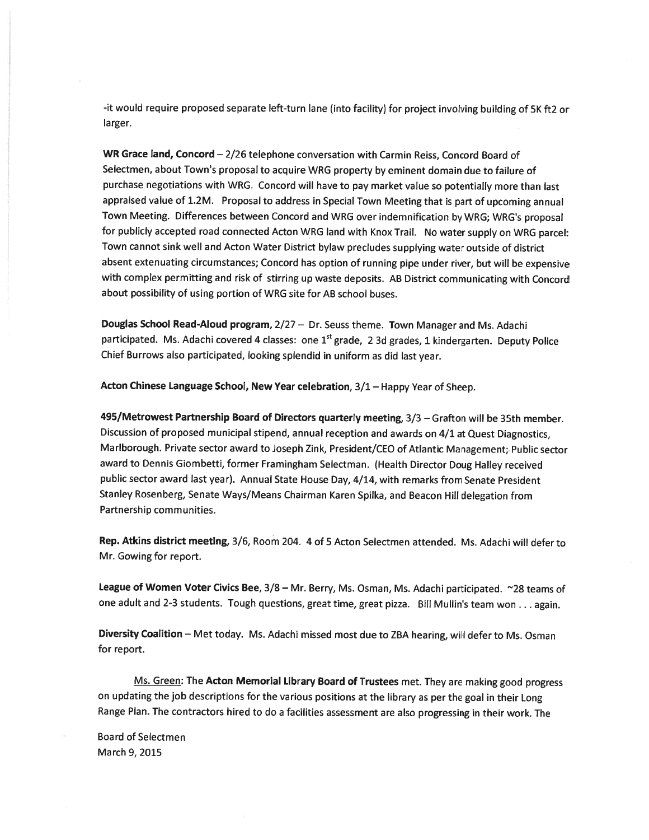-it would require proposed separate left-turn lane (into facility) for project involving building of 5K ft2 or larger.

WR Grace land, Concord - 2/26 telephone conversation with Carmin Reiss, Concord Board of Selectmen, about Town's proposal to acquire WRG property by eminent domain due to failure of purchase negotiations with WRG. Concord will have to pay market value so potentially more than last appraised value of 1.2M. Proposal to address in Special Town Meeting that is par<sup>t</sup> of upcoming annual Town Meeting. Differences between Concord and WRG over indemnification by WRG; WRG's proposal for publicly accepted road connected Acton WRG land with Knox Trail. No water supply on WRG parcel: Town cannot sink well and Acton Water District bylaw precludes supplying water outside of district absent extenuating circumstances; Concord has option of running <sup>p</sup>ipe under river, but will be expensive with complex permitting and risk of stirring up waste deposits. AB District communicating with Concord about possibility of using portion of WRG site for AB school buses.

Douglas School Read-Aloud program, 2/27 — Dr. Seuss theme. Town Manager and Ms. Adachi participated. Ms. Adachi covered 4 classes: one 1<sup>st</sup> grade, 2 3d grades, 1 kindergarten. Deputy Police Chief Burrows also participated, looking splendid in uniform as did last year.

Acton Chinese Language School, New Year celebration, 3/1 - Happy Year of Sheep.

495/Metrowest Partnership Board of Directors quarterly meeting, 3/3 — Grafton will be 35th member. Discussion of proposed municipal stipend, annual reception and awards on 4/1 at Quest Diagnostics, Marlborough. Private sector award to Joseph Zink, President/CEO of Atlantic Management; Public sector award to Dennis Giombetti, former Framingham Selectman. (Health Director Doug Halley received public sector award last year). Annual State House Day, 4/14, with remarks from Senate President Stanley Rosenberg, Senate Ways/Means Chairman Karen Spilka, and Beacon Hill delegation from Partnership communities.

Rep. Atkins district meeting, 3/6, Room 204. 4 of 5 Acton Selectmen attended. Ms. Adachi will defer to Mr. Gowing for report.

League of Women Voter Civics Bee, 3/8 - Mr. Berry, Ms. Osman, Ms. Adachi participated. ~28 teams of one adult and 2-3 students. Tough questions, great time, great pizza. Bill Mullin's team won . . . again.

Diversity Coalition — Met today. Ms. Adachi missed most due to ZBA hearing, will defer to Ms. Osman for report.

Ms. Green: The Acton Memorial Library Board of Trustees met. They are making good progress on updating the job descriptions for the various positions at the library as per the goa<sup>l</sup> in their Long Range Plan. The contractors hired to do <sup>a</sup> facilities assessment are also progressing in their work. The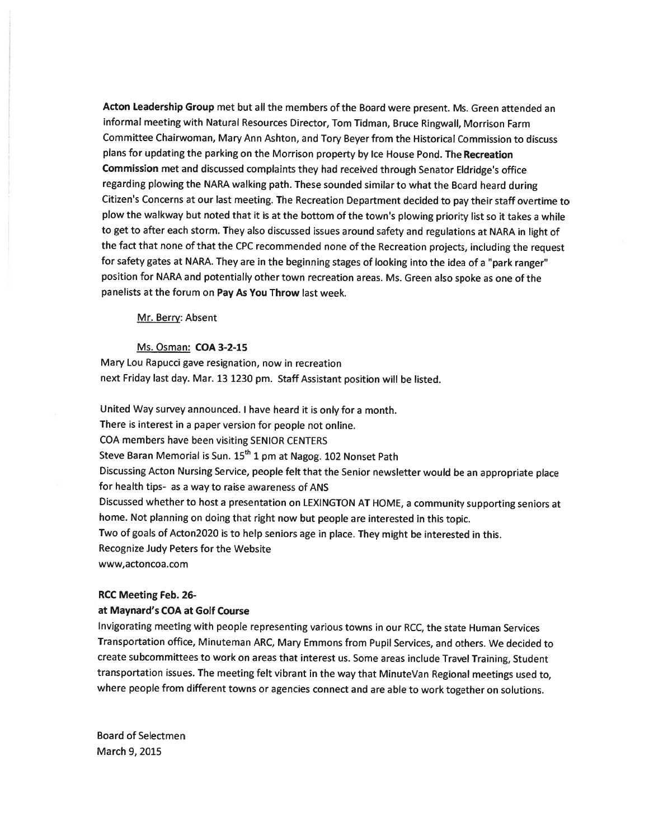Acton Leadership Group met but all the members of the Board were present. Ms. Green attended an informal meeting with Natural Resources Director, Tom Tidman, Bruce Ringwall, Morrison Farm Committee Chairwoman, Mary Ann Ashton, and Tory Beyer from the Historical Commission to discuss <sup>p</sup>lans for updating the parking on the Morrison property by Ice House Pond. The Recreation Commission met and discussed complaints they had received through Senator Eldridge's office regarding <sup>p</sup>lowing the NARA walking path. These sounded similar to what the Board heard during Citizen's Concerns at our last meeting. The Recreation Department decided to pay their staff overtime to <sup>p</sup>low the walkway but noted that it is at the bottom of the town's <sup>p</sup>lowing priority list so it takes <sup>a</sup> while to ge<sup>t</sup> to after each storm. They also discussed issues around safety and regulations at NARA in light of the fact that none of that the CPC recommended none of the Recreation projects, including the reques<sup>t</sup> for safety gates at NARA. They are in the beginning stages of looking into the idea of <sup>a</sup> "park ranger" position for NARA and potentially other town recreation areas. Ms. Green also spoke as one of the panelists at the forum on Pay As You Throw last week.

Mr. Berry: Absent

Ms. Osman: COA 3-2-15 Mary Lou Rapucci gave resignation, now in recreation next Friday last day. Mar. <sup>13</sup> <sup>1230</sup> pm. Staff Assistant position will be listed.

United Way survey announced. <sup>I</sup> have heard it is only for <sup>a</sup> month. There is interest in <sup>a</sup> paper version for people not online. COA members have been visiting SENIOR CENTERS Steve Baran Memorial is Sun. 15<sup>th</sup> 1 pm at Nagog. 102 Nonset Path Discussing Acton Nursing Service, people felt that the Senior newsletter would be an appropriate <sup>p</sup>lace for health tips- as <sup>a</sup> way to raise awareness of ANS Discussed whether to host <sup>a</sup> presentation on LEXINGTON AT HOME, <sup>a</sup> community supporting seniors at home. Not <sup>p</sup>lanning on doing that right now but people are interested in this topic. Two of goals of Acton2O2O is to help seniors age in <sup>p</sup>lace. They might be interested in this. Recognize Judy Peters for the Website www,actoncoa.com

### RCC Meeting Feb. 26-

## at Maynard's COA at Golf Course

Invigorating meeting with people representing various towns in our RCC, the state Human Services Transportation office, Minuteman ARC, Mary Emmons from Pupil Services, and others. We decided to create subcommittees to work on areas that interest us. Some areas include Travel Training, Student transportation issues. The meeting felt vibrant in the way that MinuteVan Regional meetings used to, where people from different towns or agencies connect and are able to work together on solutions.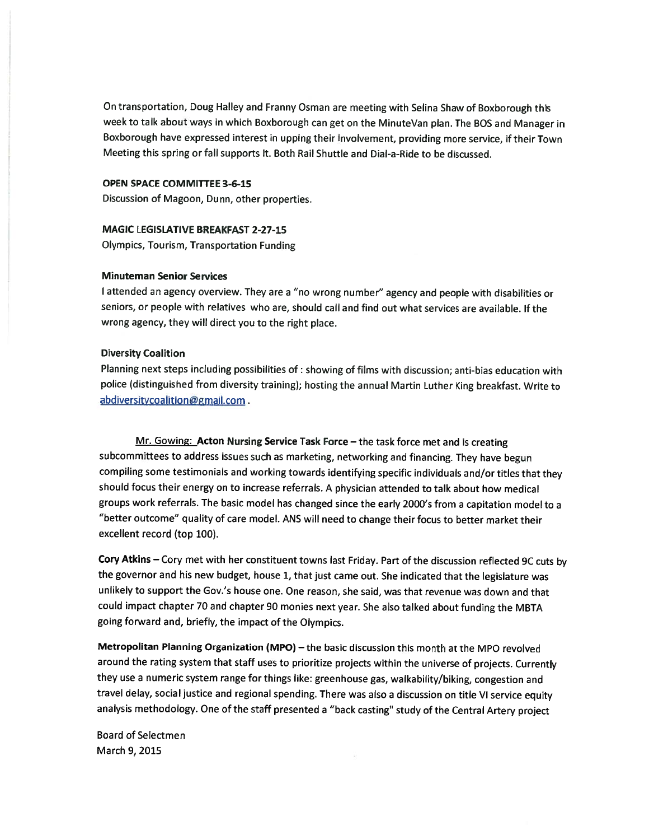On transportation, Doug Halley and Franny Osman are meeting with Selina Shaw of Boxborough this week to talk about ways in which Boxborough can ge<sup>t</sup> on the MinuteVan <sup>p</sup>lan. The <sup>805</sup> and Manager in Boxborough have expresse<sup>d</sup> interest in upping their involvement, providing more service, if their Town Meeting this spring or fall supports it. Both Rail Shuttle and Dial-a-Ride to be discussed.

## OPEN SPACE COMMITTEE 3-6-15

Discussion of Magoon, Dunn, other properties.

## MAGIC LEGISLATIVE BREAKFAST 2-27-15

Olympics, Tourism, Transportation Funding

# Minuteman Senior Services

<sup>I</sup> attended an agency overview. They are <sup>a</sup> "no wrong number" agency and people with disabilities or seniors, or people with relatives who are, should call and find out what services are available. If the wrong agency, they will direct you to the right <sup>p</sup>lace.

#### Diversity Coalition

Planning next steps including possibilities of: showing of films with discussion; anti-bias education with police (distinguished from diversity training); hosting the annual Martin Luther King breakfast. Write to abdiversitycoalition@gmail.com.

Mr. Gowing: Acton Nursing Service Task Force - the task force met and is creating subcommittees to address issues such as marketing, networking and financing. They have begun compiling some testimonials and working towards identifying specific individuals and/or titles that they should focus their energy on to increase referrals. <sup>A</sup> <sup>p</sup>hysician attended to talk about how medical groups work referrals. The basic model has changed since the early 2000's from <sup>a</sup> capitation model to <sup>a</sup> "better outcome" quality of care model. ANS will need to change their focus to better market their excellent record (top 100).

Cory Atkins — Cory met with her constituent towns last Friday. Part of the discussion reflected 9C cuts by the governor and his new budget, house 1, that just came out. She indicated that the legislature was unlikely to suppor<sup>t</sup> the Gov.'s house one. One reason, she said, was that revenue was down and that could impact chapter <sup>70</sup> and chapter <sup>90</sup> monies next year. She also talked about funding the MBTA going forward and, briefly, the impact of the Olympics.

Metropolitan Planning Organization (MPO) — the basic discussion this month at the MPO revolved around the rating system that staff uses to prioritize projects within the universe of projects. Currently they use <sup>a</sup> numeric system range for things like: greenhouse gas, walkability/biking, congestion and travel delay, social justice and regional spending. There was also <sup>a</sup> discussion on title VI service equity analysis methodology. One of the staff presented <sup>a</sup> "back casting" study of the Central Artery project